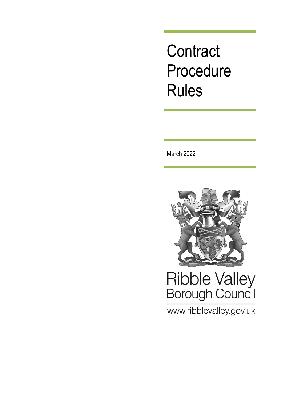## **Contract** Procedure Rules

March 2022



# Ribble Valley<br>Borough Council

www.ribblevalley.gov.uk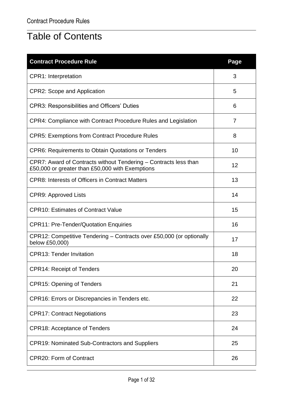## Table of Contents

| <b>Contract Procedure Rule</b>                                                                                      | Page |
|---------------------------------------------------------------------------------------------------------------------|------|
| <b>CPR1: Interpretation</b>                                                                                         | 3    |
| <b>CPR2: Scope and Application</b>                                                                                  | 5    |
| <b>CPR3: Responsibilities and Officers' Duties</b>                                                                  | 6    |
| CPR4: Compliance with Contract Procedure Rules and Legislation                                                      | 7    |
| <b>CPR5: Exemptions from Contract Procedure Rules</b>                                                               | 8    |
| <b>CPR6: Requirements to Obtain Quotations or Tenders</b>                                                           | 10   |
| CPR7: Award of Contracts without Tendering – Contracts less than<br>£50,000 or greater than £50,000 with Exemptions | 12   |
| <b>CPR8: Interests of Officers in Contract Matters</b>                                                              | 13   |
| CPR9: Approved Lists                                                                                                | 14   |
| <b>CPR10: Estimates of Contract Value</b>                                                                           | 15   |
| <b>CPR11: Pre-Tender/Quotation Enquiries</b>                                                                        | 16   |
| CPR12: Competitive Tendering – Contracts over £50,000 (or optionally<br>below £50,000)                              | 17   |
| <b>CPR13: Tender Invitation</b>                                                                                     | 18   |
| <b>CPR14: Receipt of Tenders</b>                                                                                    | 20   |
| <b>CPR15: Opening of Tenders</b>                                                                                    | 21   |
| CPR16: Errors or Discrepancies in Tenders etc.                                                                      | 22   |
| <b>CPR17: Contract Negotiations</b>                                                                                 | 23   |
| <b>CPR18: Acceptance of Tenders</b>                                                                                 | 24   |
| <b>CPR19: Nominated Sub-Contractors and Suppliers</b>                                                               | 25   |
| <b>CPR20: Form of Contract</b>                                                                                      | 26   |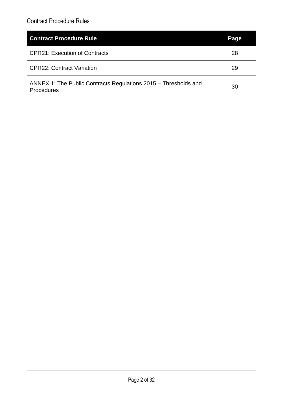| <b>Contract Procedure Rule</b>                                                | Page |
|-------------------------------------------------------------------------------|------|
| <b>CPR21: Execution of Contracts</b>                                          | 28   |
| <b>CPR22: Contract Variation</b>                                              | 29   |
| ANNEX 1: The Public Contracts Regulations 2015 – Thresholds and<br>Procedures | 30   |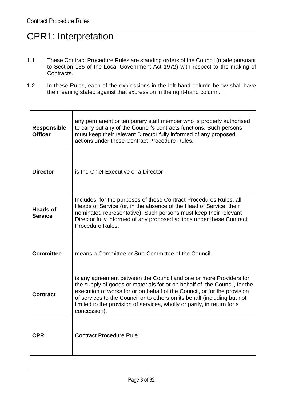## CPR1: Interpretation

- 1.1 These Contract Procedure Rules are standing orders of the Council (made pursuant to Section 135 of the Local Government Act 1972) with respect to the making of Contracts.
- 1.2 In these Rules, each of the expressions in the left-hand column below shall have the meaning stated against that expression in the right-hand column.

| <b>Responsible</b><br><b>Officer</b> | any permanent or temporary staff member who is properly authorised<br>to carry out any of the Council's contracts functions. Such persons<br>must keep their relevant Director fully informed of any proposed<br>actions under these Contract Procedure Rules.                                                                                                                                     |  |
|--------------------------------------|----------------------------------------------------------------------------------------------------------------------------------------------------------------------------------------------------------------------------------------------------------------------------------------------------------------------------------------------------------------------------------------------------|--|
| <b>Director</b>                      | is the Chief Executive or a Director                                                                                                                                                                                                                                                                                                                                                               |  |
| <b>Heads of</b><br><b>Service</b>    | Includes, for the purposes of these Contract Procedures Rules, all<br>Heads of Service (or, in the absence of the Head of Service, their<br>nominated representative). Such persons must keep their relevant<br>Director fully informed of any proposed actions under these Contract<br>Procedure Rules.                                                                                           |  |
| <b>Committee</b>                     | means a Committee or Sub-Committee of the Council.                                                                                                                                                                                                                                                                                                                                                 |  |
| <b>Contract</b>                      | is any agreement between the Council and one or more Providers for<br>the supply of goods or materials for or on behalf of the Council, for the<br>execution of works for or on behalf of the Council, or for the provision<br>of services to the Council or to others on its behalf (including but not<br>limited to the provision of services, wholly or partly, in return for a<br>concession). |  |
| <b>CPR</b>                           | <b>Contract Procedure Rule.</b>                                                                                                                                                                                                                                                                                                                                                                    |  |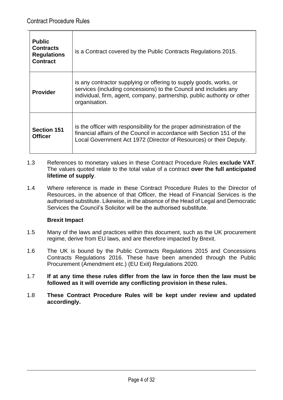| <b>Public</b><br><b>Contracts</b><br><b>Regulations</b><br><b>Contract</b> | is a Contract covered by the Public Contracts Regulations 2015.                                                                                                                                                                     |
|----------------------------------------------------------------------------|-------------------------------------------------------------------------------------------------------------------------------------------------------------------------------------------------------------------------------------|
| <b>Provider</b>                                                            | is any contractor supplying or offering to supply goods, works, or<br>services (including concessions) to the Council and includes any<br>individual, firm, agent, company, partnership, public authority or other<br>organisation. |
| <b>Section 151</b><br><b>Officer</b>                                       | is the officer with responsibility for the proper administration of the<br>financial affairs of the Council in accordance with Section 151 of the<br>Local Government Act 1972 (Director of Resources) or their Deputy.             |

- 1.3 References to monetary values in these Contract Procedure Rules **exclude VAT**. The values quoted relate to the total value of a contract **over the full anticipated lifetime of supply**.
- 1.4 Where reference is made in these Contract Procedure Rules to the Director of Resources, in the absence of that Officer, the Head of Financial Services is the authorised substitute. Likewise, in the absence of the Head of Legal and Democratic Services the Council's Solicitor will be the authorised substitute.

#### **Brexit Impact**

- 1.5 Many of the laws and practices within this document, such as the UK procurement regime, derive from EU laws, and are therefore impacted by Brexit.
- 1.6 The UK is bound by the Public Contracts Regulations 2015 and Concessions Contracts Regulations 2016. These have been amended through the Public Procurement (Amendment etc.) (EU Exit) Regulations 2020.
- 1.7 **If at any time these rules differ from the law in force then the law must be followed as it will override any conflicting provision in these rules.**
- 1.8 **These Contract Procedure Rules will be kept under review and updated accordingly.**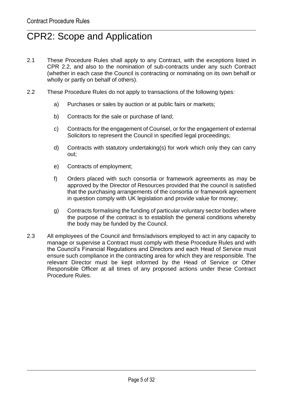## CPR2: Scope and Application

- 2.1 These Procedure Rules shall apply to any Contract, with the exceptions listed in CPR 2.2, and also to the nomination of sub-contracts under any such Contract (whether in each case the Council is contracting or nominating on its own behalf or wholly or partly on behalf of others).
- 2.2 These Procedure Rules do not apply to transactions of the following types:
	- a) Purchases or sales by auction or at public fairs or markets;
	- b) Contracts for the sale or purchase of land;
	- c) Contracts for the engagement of Counsel, or for the engagement of external Solicitors to represent the Council in specified legal proceedings;
	- d) Contracts with statutory undertaking(s) for work which only they can carry out;
	- e) Contracts of employment;
	- f) Orders placed with such consortia or framework agreements as may be approved by the Director of Resources provided that the council is satisfied that the purchasing arrangements of the consortia or framework agreement in question comply with UK legislation and provide value for money;
	- g) Contracts formalising the funding of particular voluntary sector bodies where the purpose of the contract is to establish the general conditions whereby the body may be funded by the Council.
- 2.3 All employees of the Council and firms/advisors employed to act in any capacity to manage or supervise a Contract must comply with these Procedure Rules and with the Council's Financial Regulations and Directors and each Head of Service must ensure such compliance in the contracting area for which they are responsible. The relevant Director must be kept informed by the Head of Service or Other Responsible Officer at all times of any proposed actions under these Contract Procedure Rules.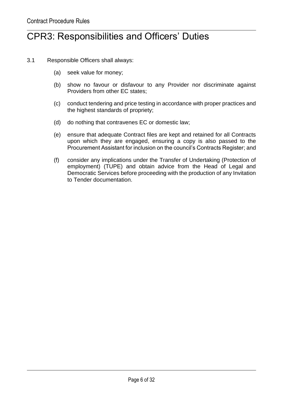#### CPR3: Responsibilities and Officers' Duties

- 3.1 Responsible Officers shall always:
	- (a) seek value for money;
	- (b) show no favour or disfavour to any Provider nor discriminate against Providers from other EC states;
	- (c) conduct tendering and price testing in accordance with proper practices and the highest standards of propriety;
	- (d) do nothing that contravenes EC or domestic law;
	- (e) ensure that adequate Contract files are kept and retained for all Contracts upon which they are engaged, ensuring a copy is also passed to the Procurement Assistant for inclusion on the council's Contracts Register; and
	- (f) consider any implications under the Transfer of Undertaking (Protection of employment) (TUPE) and obtain advice from the Head of Legal and Democratic Services before proceeding with the production of any Invitation to Tender documentation.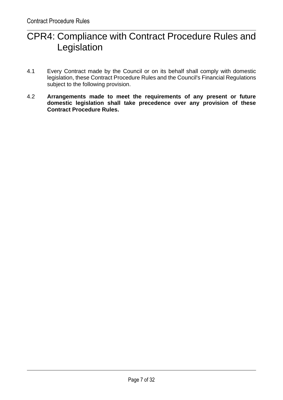## CPR4: Compliance with Contract Procedure Rules and Legislation

- 4.1 Every Contract made by the Council or on its behalf shall comply with domestic legislation, these Contract Procedure Rules and the Council's Financial Regulations subject to the following provision.
- 4.2 **Arrangements made to meet the requirements of any present or future domestic legislation shall take precedence over any provision of these Contract Procedure Rules.**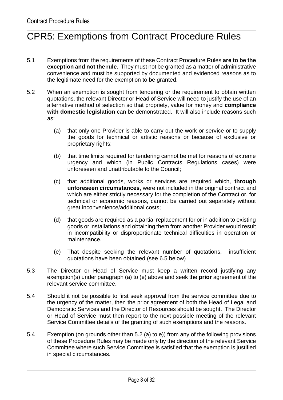## CPR5: Exemptions from Contract Procedure Rules

- 5.1 Exemptions from the requirements of these Contract Procedure Rules **are to be the exception and not the rule**. They must not be granted as a matter of administrative convenience and must be supported by documented and evidenced reasons as to the legitimate need for the exemption to be granted.
- 5.2 When an exemption is sought from tendering or the requirement to obtain written quotations, the relevant Director or Head of Service will need to justify the use of an alternative method of selection so that propriety, value for money and **compliance with domestic legislation** can be demonstrated. It will also include reasons such as:
	- (a) that only one Provider is able to carry out the work or service or to supply the goods for technical or artistic reasons or because of exclusive or proprietary rights;
	- (b) that time limits required for tendering cannot be met for reasons of extreme urgency and which (in Public Contracts Regulations cases) were unforeseen and unattributable to the Council;
	- (c) that additional goods, works or services are required which, **through unforeseen circumstances**, were not included in the original contract and which are either strictly necessary for the completion of the Contract or, for technical or economic reasons, cannot be carried out separately without great inconvenience/additional costs;
	- (d) that goods are required as a partial replacement for or in addition to existing goods or installations and obtaining them from another Provider would result in incompatibility or disproportionate technical difficulties in operation or maintenance.
	- (e) That despite seeking the relevant number of quotations, insufficient quotations have been obtained (see 6.5 below)
- 5.3 The Director or Head of Service must keep a written record justifying any exemption(s) under paragraph (a) to (e) above and seek the **prior** agreement of the relevant service committee.
- 5.4 Should it not be possible to first seek approval from the service committee due to the urgency of the matter, then the prior agreement of both the Head of Legal and Democratic Services and the Director of Resources should be sought. The Director or Head of Service must then report to the next possible meeting of the relevant Service Committee details of the granting of such exemptions and the reasons.
- 5.4 Exemption (on grounds other than 5.2 (a) to e)) from any of the following provisions of these Procedure Rules may be made only by the direction of the relevant Service Committee where such Service Committee is satisfied that the exemption is justified in special circumstances.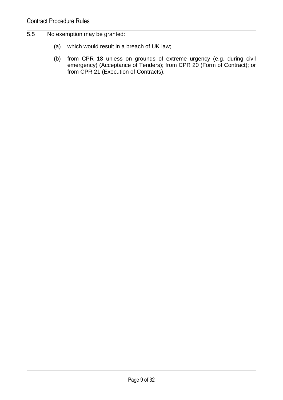- 5.5 No exemption may be granted:
	- (a) which would result in a breach of UK law;
	- (b) from CPR 18 unless on grounds of extreme urgency (e.g. during civil emergency) (Acceptance of Tenders); from CPR 20 (Form of Contract); or from CPR 21 (Execution of Contracts).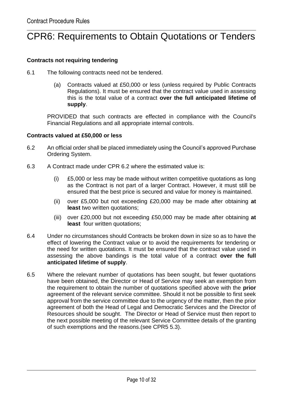## CPR6: Requirements to Obtain Quotations or Tenders

#### **Contracts not requiring tendering**

- 6.1 The following contracts need not be tendered.
	- (a) Contracts valued at £50,000 or less (unless required by Public Contracts Regulations). It must be ensured that the contract value used in assessing this is the total value of a contract **over the full anticipated lifetime of supply**.

PROVIDED that such contracts are effected in compliance with the Council's Financial Regulations and all appropriate internal controls.

#### **Contracts valued at £50,000 or less**

- 6.2 An official order shall be placed immediately using the Council's approved Purchase Ordering System.
- 6.3 A Contract made under CPR 6.2 where the estimated value is:
	- (i) £5,000 or less may be made without written competitive quotations as long as the Contract is not part of a larger Contract. However, it must still be ensured that the best price is secured and value for money is maintained.
	- (ii) over £5,000 but not exceeding £20,000 may be made after obtaining **at least** two written quotations;
	- (iii) over £20,000 but not exceeding £50,000 may be made after obtaining **at least** four written quotations;
- 6.4 Under no circumstances should Contracts be broken down in size so as to have the effect of lowering the Contract value or to avoid the requirements for tendering or the need for written quotations. It must be ensured that the contract value used in assessing the above bandings is the total value of a contract **over the full anticipated lifetime of supply**.
- 6.5 Where the relevant number of quotations has been sought, but fewer quotations have been obtained, the Director or Head of Service may seek an exemption from the requirement to obtain the number of quotations specified above with the **prior** agreement of the relevant service committee. Should it not be possible to first seek approval from the service committee due to the urgency of the matter, then the prior agreement of both the Head of Legal and Democratic Services and the Director of Resources should be sought. The Director or Head of Service must then report to the next possible meeting of the relevant Service Committee details of the granting of such exemptions and the reasons.(see CPR5 5.3).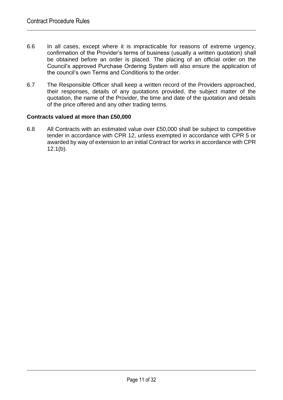- 6.6 In all cases, except where it is impracticable for reasons of extreme urgency, confirmation of the Provider's terms of business (usually a written quotation) shall be obtained before an order is placed. The placing of an official order on the Council's approved Purchase Ordering System will also ensure the application of the council's own Terms and Conditions to the order.
- 6.7 The Responsible Officer shall keep a written record of the Providers approached, their responses, details of any quotations provided, the subject matter of the quotation, the name of the Provider, the time and date of the quotation and details of the price offered and any other trading terms.

#### **Contracts valued at more than £50,000**

6.8 All Contracts with an estimated value over £50,000 shall be subject to competitive tender in accordance with CPR 12, unless exempted in accordance with CPR 5 or awarded by way of extension to an initial Contract for works in accordance with CPR 12.1(b).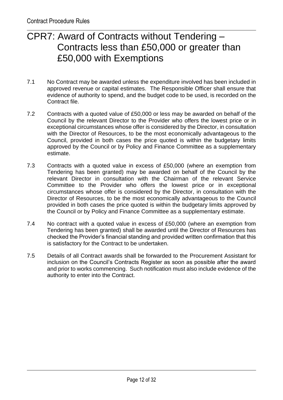#### CPR7: Award of Contracts without Tendering – Contracts less than £50,000 or greater than £50,000 with Exemptions

- 7.1 No Contract may be awarded unless the expenditure involved has been included in approved revenue or capital estimates. The Responsible Officer shall ensure that evidence of authority to spend, and the budget code to be used, is recorded on the Contract file.
- 7.2 Contracts with a quoted value of £50,000 or less may be awarded on behalf of the Council by the relevant Director to the Provider who offers the lowest price or in exceptional circumstances whose offer is considered by the Director, in consultation with the Director of Resources, to be the most economically advantageous to the Council, provided in both cases the price quoted is within the budgetary limits approved by the Council or by Policy and Finance Committee as a supplementary estimate.
- 7.3 Contracts with a quoted value in excess of £50,000 (where an exemption from Tendering has been granted) may be awarded on behalf of the Council by the relevant Director in consultation with the Chairman of the relevant Service Committee to the Provider who offers the lowest price or in exceptional circumstances whose offer is considered by the Director, in consultation with the Director of Resources, to be the most economically advantageous to the Council provided in both cases the price quoted is within the budgetary limits approved by the Council or by Policy and Finance Committee as a supplementary estimate.
- 7.4 No contract with a quoted value in excess of £50,000 (where an exemption from Tendering has been granted) shall be awarded until the Director of Resources has checked the Provider's financial standing and provided written confirmation that this is satisfactory for the Contract to be undertaken.
- 7.5 Details of all Contract awards shall be forwarded to the Procurement Assistant for inclusion on the Council's Contracts Register as soon as possible after the award and prior to works commencing. Such notification must also include evidence of the authority to enter into the Contract.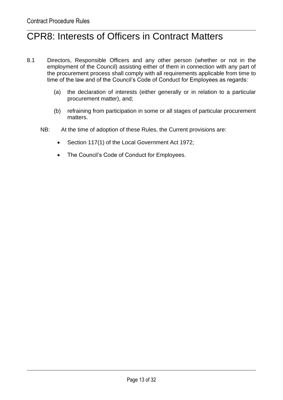## CPR8: Interests of Officers in Contract Matters

- 8.1 Directors, Responsible Officers and any other person (whether or not in the employment of the Council) assisting either of them in connection with any part of the procurement process shall comply with all requirements applicable from time to time of the law and of the Council's Code of Conduct for Employees as regards:
	- (a) the declaration of interests (either generally or in relation to a particular procurement matter), and;
	- (b) refraining from participation in some or all stages of particular procurement matters.
	- NB: At the time of adoption of these Rules, the Current provisions are:
		- Section 117(1) of the Local Government Act 1972;
		- The Council's Code of Conduct for Employees.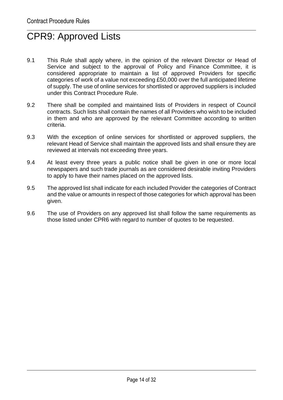## CPR9: Approved Lists

- 9.1 This Rule shall apply where, in the opinion of the relevant Director or Head of Service and subject to the approval of Policy and Finance Committee, it is considered appropriate to maintain a list of approved Providers for specific categories of work of a value not exceeding £50,000 over the full anticipated lifetime of supply. The use of online services for shortlisted or approved suppliers is included under this Contract Procedure Rule.
- 9.2 There shall be compiled and maintained lists of Providers in respect of Council contracts. Such lists shall contain the names of all Providers who wish to be included in them and who are approved by the relevant Committee according to written criteria.
- 9.3 With the exception of online services for shortlisted or approved suppliers, the relevant Head of Service shall maintain the approved lists and shall ensure they are reviewed at intervals not exceeding three years.
- 9.4 At least every three years a public notice shall be given in one or more local newspapers and such trade journals as are considered desirable inviting Providers to apply to have their names placed on the approved lists.
- 9.5 The approved list shall indicate for each included Provider the categories of Contract and the value or amounts in respect of those categories for which approval has been given.
- 9.6 The use of Providers on any approved list shall follow the same requirements as those listed under CPR6 with regard to number of quotes to be requested.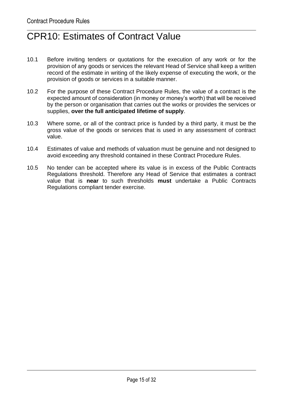## CPR10: Estimates of Contract Value

- 10.1 Before inviting tenders or quotations for the execution of any work or for the provision of any goods or services the relevant Head of Service shall keep a written record of the estimate in writing of the likely expense of executing the work, or the provision of goods or services in a suitable manner.
- 10.2 For the purpose of these Contract Procedure Rules, the value of a contract is the expected amount of consideration (in money or money's worth) that will be received by the person or organisation that carries out the works or provides the services or supplies, **over the full anticipated lifetime of supply**.
- 10.3 Where some, or all of the contract price is funded by a third party, it must be the gross value of the goods or services that is used in any assessment of contract value.
- 10.4 Estimates of value and methods of valuation must be genuine and not designed to avoid exceeding any threshold contained in these Contract Procedure Rules.
- 10.5 No tender can be accepted where its value is in excess of the Public Contracts Regulations threshold. Therefore any Head of Service that estimates a contract value that is **near** to such thresholds **must** undertake a Public Contracts Regulations compliant tender exercise.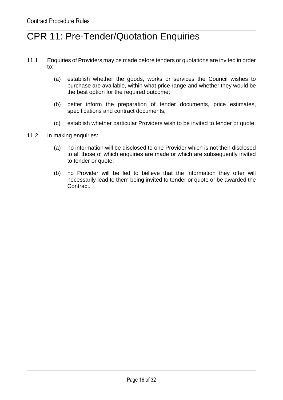#### CPR 11: Pre-Tender/Quotation Enquiries

- 11.1 Enquiries of Providers may be made before tenders or quotations are invited in order to:
	- (a) establish whether the goods, works or services the Council wishes to purchase are available, within what price range and whether they would be the best option for the required outcome;
	- (b) better inform the preparation of tender documents, price estimates, specifications and contract documents;
	- (c) establish whether particular Providers wish to be invited to tender or quote.
- 11.2 In making enquiries:
	- (a) no information will be disclosed to one Provider which is not then disclosed to all those of which enquiries are made or which are subsequently invited to tender or quote:
	- (b) no Provider will be led to believe that the information they offer will necessarily lead to them being invited to tender or quote or be awarded the Contract.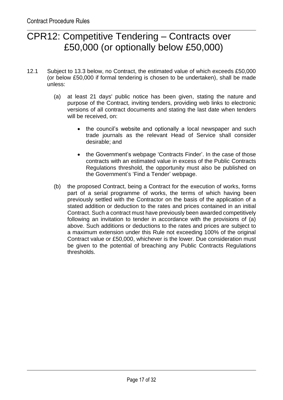#### CPR12: Competitive Tendering – Contracts over £50,000 (or optionally below £50,000)

- 12.1 Subject to 13.3 below, no Contract, the estimated value of which exceeds £50,000 (or below £50,000 if formal tendering is chosen to be undertaken), shall be made unless:
	- (a) at least 21 days' public notice has been given, stating the nature and purpose of the Contract, inviting tenders, providing web links to electronic versions of all contract documents and stating the last date when tenders will be received, on:
		- the council's website and optionally a local newspaper and such trade journals as the relevant Head of Service shall consider desirable; and
		- the Government's webpage 'Contracts Finder'. In the case of those contracts with an estimated value in excess of the Public Contracts Regulations threshold, the opportunity must also be published on the Government's 'Find a Tender' webpage.
	- (b) the proposed Contract, being a Contract for the execution of works, forms part of a serial programme of works, the terms of which having been previously settled with the Contractor on the basis of the application of a stated addition or deduction to the rates and prices contained in an initial Contract. Such a contract must have previously been awarded competitively following an invitation to tender in accordance with the provisions of (a) above. Such additions or deductions to the rates and prices are subject to a maximum extension under this Rule not exceeding 100% of the original Contract value or £50,000, whichever is the lower. Due consideration must be given to the potential of breaching any Public Contracts Regulations thresholds.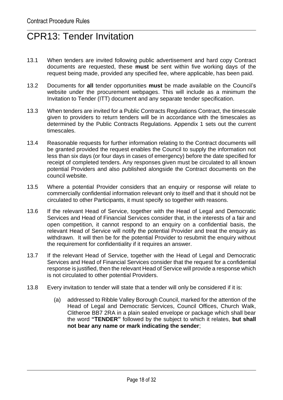## CPR13: Tender Invitation

- 13.1 When tenders are invited following public advertisement and hard copy Contract documents are requested, these **must** be sent within five working days of the request being made, provided any specified fee, where applicable, has been paid.
- 13.2 Documents for **all** tender opportunities **must** be made available on the Council's website under the procurement webpages. This will include as a minimum the Invitation to Tender (ITT) document and any separate tender specification.
- 13.3 When tenders are invited for a Public Contracts Regulations Contract, the timescale given to providers to return tenders will be in accordance with the timescales as determined by the Public Contracts Regulations. Appendix 1 sets out the current timescales.
- 13.4 Reasonable requests for further information relating to the Contract documents will be granted provided the request enables the Council to supply the information not less than six days (or four days in cases of emergency) before the date specified for receipt of completed tenders. Any responses given must be circulated to all known potential Providers and also published alongside the Contract documents on the council website.
- 13.5 Where a potential Provider considers that an enquiry or response will relate to commercially confidential information relevant only to itself and that it should not be circulated to other Participants, it must specify so together with reasons.
- 13.6 If the relevant Head of Service, together with the Head of Legal and Democratic Services and Head of Financial Services consider that, in the interests of a fair and open competition, it cannot respond to an enquiry on a confidential basis, the relevant Head of Service will notify the potential Provider and treat the enquiry as withdrawn. It will then be for the potential Provider to resubmit the enquiry without the requirement for confidentiality if it requires an answer.
- 13.7 If the relevant Head of Service, together with the Head of Legal and Democratic Services and Head of Financial Services consider that the request for a confidential response is justified, then the relevant Head of Service will provide a response which is not circulated to other potential Providers.
- 13.8 Every invitation to tender will state that a tender will only be considered if it is:
	- (a) addressed to Ribble Valley Borough Council, marked for the attention of the Head of Legal and Democratic Services, Council Offices, Church Walk, Clitheroe BB7 2RA in a plain sealed envelope or package which shall bear the word **"TENDER"** followed by the subject to which it relates, **but shall not bear any name or mark indicating the sender**;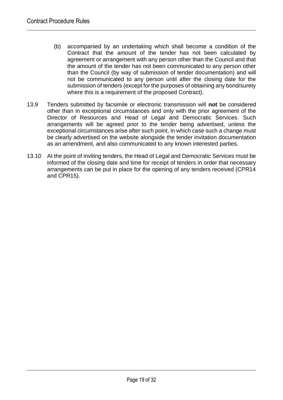- (b) accompanied by an undertaking which shall become a condition of the Contract that the amount of the tender has not been calculated by agreement or arrangement with any person other than the Council and that the amount of the tender has not been communicated to any person other than the Council (by way of submission of tender documentation) and will not be communicated to any person until after the closing date for the submission of tenders (except for the purposes of obtaining any bond/surety where this is a requirement of the proposed Contract).
- 13.9 Tenders submitted by facsimile or electronic transmission will **not** be considered other than in exceptional circumstances and only with the prior agreement of the Director of Resources and Head of Legal and Democratic Services. Such arrangements will be agreed prior to the tender being advertised, unless the exceptional circumstances arise after such point, in which case such a change must be clearly advertised on the website alongside the tender invitation documentation as an amendment, and also communicated to any known interested parties.
- 13.10 At the point of inviting tenders, the Head of Legal and Democratic Services must be informed of the closing date and time for receipt of tenders in order that necessary arrangements can be put in place for the opening of any tenders received (CPR14 and CPR15).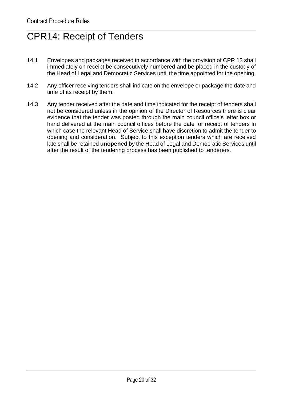## CPR14: Receipt of Tenders

- 14.1 Envelopes and packages received in accordance with the provision of CPR 13 shall immediately on receipt be consecutively numbered and be placed in the custody of the Head of Legal and Democratic Services until the time appointed for the opening.
- 14.2 Any officer receiving tenders shall indicate on the envelope or package the date and time of its receipt by them.
- 14.3 Any tender received after the date and time indicated for the receipt of tenders shall not be considered unless in the opinion of the Director of Resources there is clear evidence that the tender was posted through the main council office's letter box or hand delivered at the main council offices before the date for receipt of tenders in which case the relevant Head of Service shall have discretion to admit the tender to opening and consideration. Subject to this exception tenders which are received late shall be retained **unopened** by the Head of Legal and Democratic Services until after the result of the tendering process has been published to tenderers.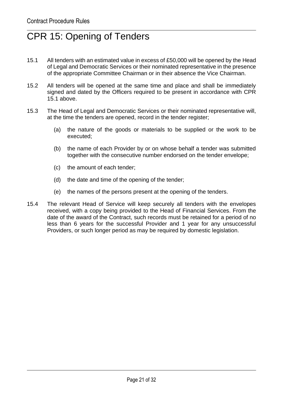## CPR 15: Opening of Tenders

- 15.1 All tenders with an estimated value in excess of £50,000 will be opened by the Head of Legal and Democratic Services or their nominated representative in the presence of the appropriate Committee Chairman or in their absence the Vice Chairman.
- 15.2 All tenders will be opened at the same time and place and shall be immediately signed and dated by the Officers required to be present in accordance with CPR 15.1 above.
- 15.3 The Head of Legal and Democratic Services or their nominated representative will, at the time the tenders are opened, record in the tender register;
	- (a) the nature of the goods or materials to be supplied or the work to be executed;
	- (b) the name of each Provider by or on whose behalf a tender was submitted together with the consecutive number endorsed on the tender envelope;
	- (c) the amount of each tender;
	- (d) the date and time of the opening of the tender;
	- (e) the names of the persons present at the opening of the tenders.
- 15.4 The relevant Head of Service will keep securely all tenders with the envelopes received, with a copy being provided to the Head of Financial Services. From the date of the award of the Contract, such records must be retained for a period of no less than 6 years for the successful Provider and 1 year for any unsuccessful Providers, or such longer period as may be required by domestic legislation.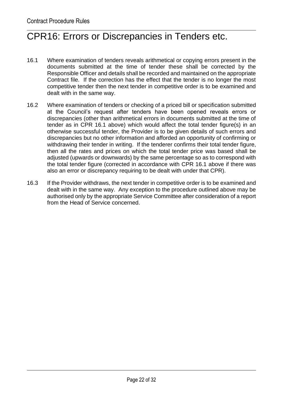#### CPR16: Errors or Discrepancies in Tenders etc.

- 16.1 Where examination of tenders reveals arithmetical or copying errors present in the documents submitted at the time of tender these shall be corrected by the Responsible Officer and details shall be recorded and maintained on the appropriate Contract file. If the correction has the effect that the tender is no longer the most competitive tender then the next tender in competitive order is to be examined and dealt with in the same way.
- 16.2 Where examination of tenders or checking of a priced bill or specification submitted at the Council's request after tenders have been opened reveals errors or discrepancies (other than arithmetical errors in documents submitted at the time of tender as in CPR 16.1 above) which would affect the total tender figure(s) in an otherwise successful tender, the Provider is to be given details of such errors and discrepancies but no other information and afforded an opportunity of confirming or withdrawing their tender in writing. If the tenderer confirms their total tender figure, then all the rates and prices on which the total tender price was based shall be adjusted (upwards or downwards) by the same percentage so as to correspond with the total tender figure (corrected in accordance with CPR 16.1 above if there was also an error or discrepancy requiring to be dealt with under that CPR).
- 16.3 If the Provider withdraws, the next tender in competitive order is to be examined and dealt with in the same way. Any exception to the procedure outlined above may be authorised only by the appropriate Service Committee after consideration of a report from the Head of Service concerned.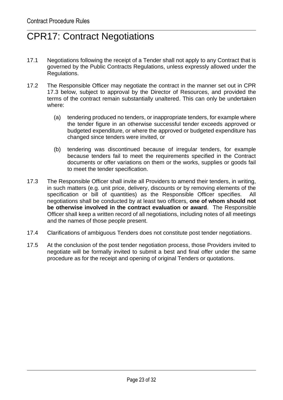## CPR17: Contract Negotiations

- 17.1 Negotiations following the receipt of a Tender shall not apply to any Contract that is governed by the Public Contracts Regulations, unless expressly allowed under the Regulations.
- 17.2 The Responsible Officer may negotiate the contract in the manner set out in CPR 17.3 below, subject to approval by the Director of Resources, and provided the terms of the contract remain substantially unaltered. This can only be undertaken where:
	- (a) tendering produced no tenders, or inappropriate tenders, for example where the tender figure in an otherwise successful tender exceeds approved or budgeted expenditure, or where the approved or budgeted expenditure has changed since tenders were invited, or
	- (b) tendering was discontinued because of irregular tenders, for example because tenders fail to meet the requirements specified in the Contract documents or offer variations on them or the works, supplies or goods fail to meet the tender specification.
- 17.3 The Responsible Officer shall invite all Providers to amend their tenders, in writing, in such matters (e.g. unit price, delivery, discounts or by removing elements of the specification or bill of quantities) as the Responsible Officer specifies. All negotiations shall be conducted by at least two officers, **one of whom should not be otherwise involved in the contract evaluation or award**. The Responsible Officer shall keep a written record of all negotiations, including notes of all meetings and the names of those people present.
- 17.4 Clarifications of ambiguous Tenders does not constitute post tender negotiations.
- 17.5 At the conclusion of the post tender negotiation process, those Providers invited to negotiate will be formally invited to submit a best and final offer under the same procedure as for the receipt and opening of original Tenders or quotations.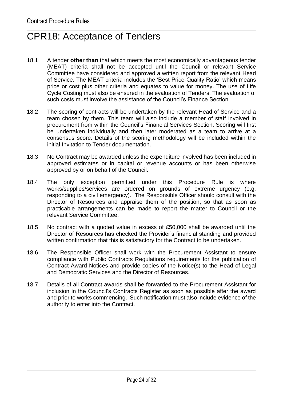#### CPR18: Acceptance of Tenders

- 18.1 A tender **other than** that which meets the most economically advantageous tender (MEAT) criteria shall not be accepted until the Council or relevant Service Committee have considered and approved a written report from the relevant Head of Service. The MEAT criteria includes the 'Best Price-Quality Ratio' which means price or cost plus other criteria and equates to value for money. The use of Life Cycle Costing must also be ensured in the evaluation of Tenders. The evaluation of such costs must involve the assistance of the Council's Finance Section.
- 18.2 The scoring of contracts will be undertaken by the relevant Head of Service and a team chosen by them. This team will also include a member of staff involved in procurement from within the Council's Financial Services Section. Scoring will first be undertaken individually and then later moderated as a team to arrive at a consensus score. Details of the scoring methodology will be included within the initial Invitation to Tender documentation.
- 18.3 No Contract may be awarded unless the expenditure involved has been included in approved estimates or in capital or revenue accounts or has been otherwise approved by or on behalf of the Council.
- 18.4 The only exception permitted under this Procedure Rule is where works/supplies/services are ordered on grounds of extreme urgency (e.g. responding to a civil emergency). The Responsible Officer should consult with the Director of Resources and appraise them of the position, so that as soon as practicable arrangements can be made to report the matter to Council or the relevant Service Committee.
- 18.5 No contract with a quoted value in excess of £50,000 shall be awarded until the Director of Resources has checked the Provider's financial standing and provided written confirmation that this is satisfactory for the Contract to be undertaken.
- 18.6 The Responsible Officer shall work with the Procurement Assistant to ensure compliance with Public Contracts Regulations requirements for the publication of Contract Award Notices and provide copies of the Notice(s) to the Head of Legal and Democratic Services and the Director of Resources.
- 18.7 Details of all Contract awards shall be forwarded to the Procurement Assistant for inclusion in the Council's Contracts Register as soon as possible after the award and prior to works commencing. Such notification must also include evidence of the authority to enter into the Contract.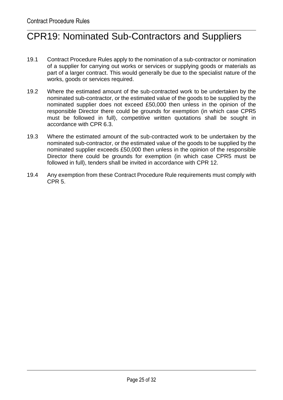## CPR19: Nominated Sub-Contractors and Suppliers

- 19.1 Contract Procedure Rules apply to the nomination of a sub-contractor or nomination of a supplier for carrying out works or services or supplying goods or materials as part of a larger contract. This would generally be due to the specialist nature of the works, goods or services required.
- 19.2 Where the estimated amount of the sub-contracted work to be undertaken by the nominated sub-contractor, or the estimated value of the goods to be supplied by the nominated supplier does not exceed £50,000 then unless in the opinion of the responsible Director there could be grounds for exemption (in which case CPR5 must be followed in full), competitive written quotations shall be sought in accordance with CPR 6.3.
- 19.3 Where the estimated amount of the sub-contracted work to be undertaken by the nominated sub-contractor, or the estimated value of the goods to be supplied by the nominated supplier exceeds £50,000 then unless in the opinion of the responsible Director there could be grounds for exemption (in which case CPR5 must be followed in full), tenders shall be invited in accordance with CPR 12.
- 19.4 Any exemption from these Contract Procedure Rule requirements must comply with CPR 5.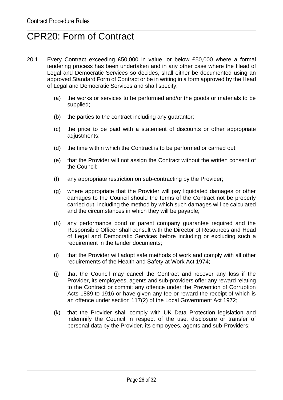#### CPR20: Form of Contract

- 20.1 Every Contract exceeding £50,000 in value, or below £50,000 where a formal tendering process has been undertaken and in any other case where the Head of Legal and Democratic Services so decides, shall either be documented using an approved Standard Form of Contract or be in writing in a form approved by the Head of Legal and Democratic Services and shall specify:
	- (a) the works or services to be performed and/or the goods or materials to be supplied;
	- (b) the parties to the contract including any guarantor;
	- (c) the price to be paid with a statement of discounts or other appropriate adjustments;
	- (d) the time within which the Contract is to be performed or carried out;
	- (e) that the Provider will not assign the Contract without the written consent of the Council;
	- (f) any appropriate restriction on sub-contracting by the Provider;
	- (g) where appropriate that the Provider will pay liquidated damages or other damages to the Council should the terms of the Contract not be properly carried out, including the method by which such damages will be calculated and the circumstances in which they will be payable;
	- (h) any performance bond or parent company guarantee required and the Responsible Officer shall consult with the Director of Resources and Head of Legal and Democratic Services before including or excluding such a requirement in the tender documents;
	- (i) that the Provider will adopt safe methods of work and comply with all other requirements of the Health and Safety at Work Act 1974;
	- (j) that the Council may cancel the Contract and recover any loss if the Provider, its employees, agents and sub-providers offer any reward relating to the Contract or commit any offence under the Prevention of Corruption Acts 1889 to 1916 or have given any fee or reward the receipt of which is an offence under section 117(2) of the Local Government Act 1972;
	- (k) that the Provider shall comply with UK Data Protection legislation and indemnify the Council in respect of the use, disclosure or transfer of personal data by the Provider, its employees, agents and sub-Providers;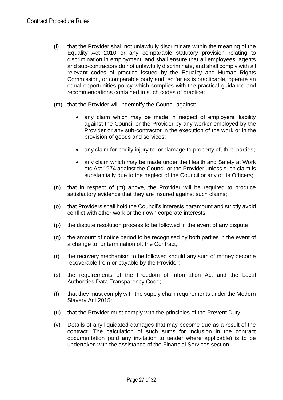- (l) that the Provider shall not unlawfully discriminate within the meaning of the Equality Act 2010 or any comparable statutory provision relating to discrimination in employment, and shall ensure that all employees, agents and sub-contractors do not unlawfully discriminate, and shall comply with all relevant codes of practice issued by the Equality and Human Rights Commission, or comparable body and, so far as is practicable, operate an equal opportunities policy which complies with the practical guidance and recommendations contained in such codes of practice;
- (m) that the Provider will indemnify the Council against:
	- any claim which may be made in respect of employers' liability against the Council or the Provider by any worker employed by the Provider or any sub-contractor in the execution of the work or in the provision of goods and services;
	- any claim for bodily injury to, or damage to property of, third parties:
	- any claim which may be made under the Health and Safety at Work etc Act 1974 against the Council or the Provider unless such claim is substantially due to the neglect of the Council or any of its Officers;
- (n) that in respect of (m) above, the Provider will be required to produce satisfactory evidence that they are insured against such claims;
- (o) that Providers shall hold the Council's interests paramount and strictly avoid conflict with other work or their own corporate interests;
- (p) the dispute resolution process to be followed in the event of any dispute;
- (q) the amount of notice period to be recognised by both parties in the event of a change to, or termination of, the Contract;
- (r) the recovery mechanism to be followed should any sum of money become recoverable from or payable by the Provider;
- (s) the requirements of the Freedom of Information Act and the Local Authorities Data Transparency Code;
- (t) that they must comply with the supply chain requirements under the Modern Slavery Act 2015;
- (u) that the Provider must comply with the principles of the Prevent Duty.
- (v) Details of any liquidated damages that may become due as a result of the contract. The calculation of such sums for inclusion in the contract documentation (and any invitation to tender where applicable) is to be undertaken with the assistance of the Financial Services section.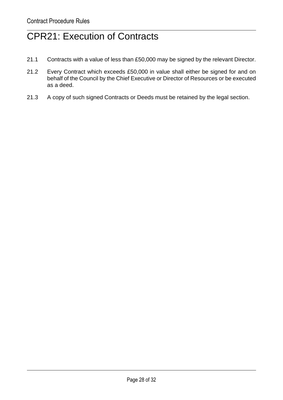## CPR21: Execution of Contracts

- 21.1 Contracts with a value of less than £50,000 may be signed by the relevant Director.
- 21.2 Every Contract which exceeds £50,000 in value shall either be signed for and on behalf of the Council by the Chief Executive or Director of Resources or be executed as a deed.
- 21.3 A copy of such signed Contracts or Deeds must be retained by the legal section.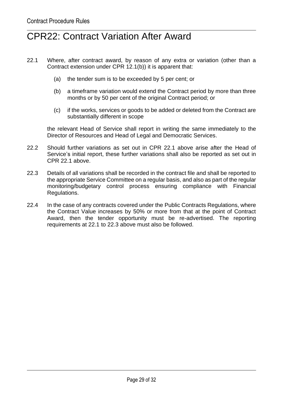#### CPR22: Contract Variation After Award

- 22.1 Where, after contract award, by reason of any extra or variation (other than a Contract extension under CPR 12.1(b)) it is apparent that:
	- (a) the tender sum is to be exceeded by 5 per cent; or
	- (b) a timeframe variation would extend the Contract period by more than three months or by 50 per cent of the original Contract period; or
	- (c) if the works, services or goods to be added or deleted from the Contract are substantially different in scope

the relevant Head of Service shall report in writing the same immediately to the Director of Resources and Head of Legal and Democratic Services.

- 22.2 Should further variations as set out in CPR 22.1 above arise after the Head of Service's initial report, these further variations shall also be reported as set out in CPR 22.1 above.
- 22.3 Details of all variations shall be recorded in the contract file and shall be reported to the appropriate Service Committee on a regular basis, and also as part of the regular monitoring/budgetary control process ensuring compliance with Financial Regulations.
- 22.4 In the case of any contracts covered under the Public Contracts Regulations, where the Contract Value increases by 50% or more from that at the point of Contract Award, then the tender opportunity must be re-advertised. The reporting requirements at 22.1 to 22.3 above must also be followed.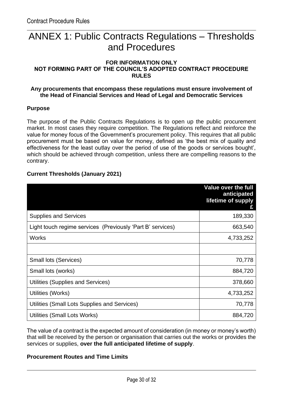#### ANNEX 1: Public Contracts Regulations – Thresholds and Procedures

#### **FOR INFORMATION ONLY NOT FORMING PART OF THE COUNCIL'S ADOPTED CONTRACT PROCEDURE RULES**

#### **Any procurements that encompass these regulations must ensure involvement of the Head of Financial Services and Head of Legal and Democratic Services**

#### **Purpose**

The purpose of the Public Contracts Regulations is to open up the public procurement market. In most cases they require competition. The Regulations reflect and reinforce the value for money focus of the Government's procurement policy. This requires that all public procurement must be based on value for money, defined as 'the best mix of quality and effectiveness for the least outlay over the period of use of the goods or services bought', which should be achieved through competition, unless there are compelling reasons to the contrary.

#### **Current Thresholds (January 2021)**

|                                                            | <b>Value over the full</b><br>anticipated<br>lifetime of supply |
|------------------------------------------------------------|-----------------------------------------------------------------|
| <b>Supplies and Services</b>                               | 189,330                                                         |
| Light touch regime services (Previously 'Part B' services) | 663,540                                                         |
| <b>Works</b>                                               | 4,733,252                                                       |
|                                                            |                                                                 |
| <b>Small lots (Services)</b>                               | 70,778                                                          |
| Small lots (works)                                         | 884,720                                                         |
| Utilities (Supplies and Services)                          | 378,660                                                         |
| Utilities (Works)                                          | 4,733,252                                                       |
| Utilities (Small Lots Supplies and Services)               | 70,778                                                          |
| Utilities (Small Lots Works)                               | 884,720                                                         |

The value of a contract is the expected amount of consideration (in money or money's worth) that will be received by the person or organisation that carries out the works or provides the services or supplies, **over the full anticipated lifetime of supply**.

#### **Procurement Routes and Time Limits**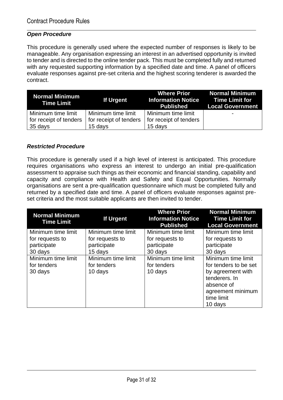#### *Open Procedure*

This procedure is generally used where the expected number of responses is likely to be manageable. Any organisation expressing an interest in an advertised opportunity is invited to tender and is directed to the online tender pack. This must be completed fully and returned with any requested supporting information by a specified date and time. A panel of officers evaluate responses against pre-set criteria and the highest scoring tenderer is awarded the contract.

| Normal Minimum<br>Time Limit | If Urgent              | <b>Where Prior</b><br>Information Notice Time Limit for<br><b>Published</b> | <b>Normal Minimum</b><br><b>Local Government</b> |
|------------------------------|------------------------|-----------------------------------------------------------------------------|--------------------------------------------------|
| Minimum time limit           | Minimum time limit     | <b>Minimum time limit</b>                                                   | $\overline{\phantom{0}}$                         |
| for receipt of tenders       | for receipt of tenders | for receipt of tenders                                                      |                                                  |
| $35 \, \text{days}$          | 15 days                | 15 days                                                                     |                                                  |

#### *Restricted Procedure*

This procedure is generally used if a high level of interest is anticipated. This procedure requires organisations who express an interest to undergo an initial pre-qualification assessment to appraise such things as their economic and financial standing, capability and capacity and compliance with Health and Safety and Equal Opportunities. Normally organisations are sent a pre-qualification questionnaire which must be completed fully and returned by a specified date and time. A panel of officers evaluate responses against preset criteria and the most suitable applicants are then invited to tender.

| <b>Normal Minimum</b><br><b>Time Limit</b> | If Urgent          | <b>Where Prior</b><br><b>Information Notice</b><br><b>Published</b> | <b>Normal Minimum</b><br><b>Time Limit for</b><br><b>Local Government</b> |
|--------------------------------------------|--------------------|---------------------------------------------------------------------|---------------------------------------------------------------------------|
| Minimum time limit                         | Minimum time limit | Minimum time limit                                                  | Minimum time limit                                                        |
| for requests to                            | for requests to    | for requests to                                                     | for requests to                                                           |
| participate                                | participate        | participate                                                         | participate                                                               |
| 30 days                                    | 15 days            | 30 days                                                             | 30 days                                                                   |
| Minimum time limit                         | Minimum time limit | Minimum time limit                                                  | Minimum time limit                                                        |
| for tenders                                | for tenders        | for tenders                                                         | for tenders to be set                                                     |
| 30 days                                    | 10 days            | 10 days                                                             | by agreement with                                                         |
|                                            |                    |                                                                     | tenderers. In                                                             |
|                                            |                    |                                                                     | absence of                                                                |
|                                            |                    |                                                                     | agreement minimum                                                         |
|                                            |                    |                                                                     | time limit                                                                |
|                                            |                    |                                                                     | 10 days                                                                   |